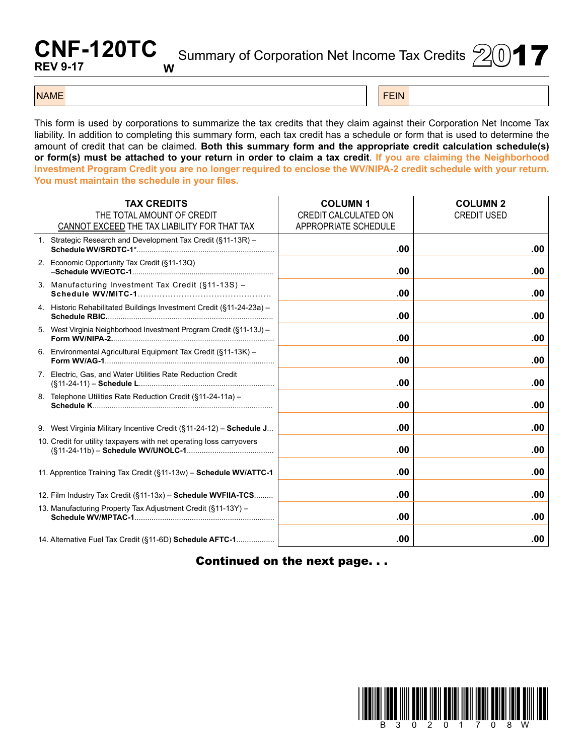## **CNF-120TC REV 9-17 W**

Summary of Corporation Net Income Tax Credits  $20$   $\blacktriangleright$ 

## NAME FEIN AND RESERVE THE SERVE THAT IS A REPORT OF THE SERVE THAT IS A REPORT OF THE SERVE THAT IS A REPORT OF

This form is used by corporations to summarize the tax credits that they claim against their Corporation Net Income Tax liability. In addition to completing this summary form, each tax credit has a schedule or form that is used to determine the amount of credit that can be claimed. **Both this summary form and the appropriate credit calculation schedule(s) or form(s) must be attached to your return in order to claim a tax credit**. **If you are claiming the Neighborhood Investment Program Credit you are no longer required to enclose the WV/NIPA-2 credit schedule with your return. You must maintain the schedule in your files.**

|                                                              | <b>TAX CREDITS</b><br>THE TOTAL AMOUNT OF CREDIT<br>CANNOT EXCEED THE TAX LIABILITY FOR THAT TAX | <b>COLUMN1</b><br>CREDIT CALCULATED ON<br>APPROPRIATE SCHEDULE | <b>COLUMN 2</b><br><b>CREDIT USED</b> |
|--------------------------------------------------------------|--------------------------------------------------------------------------------------------------|----------------------------------------------------------------|---------------------------------------|
|                                                              | 1. Strategic Research and Development Tax Credit (§11-13R) -                                     | .00                                                            | .00                                   |
|                                                              | 2. Economic Opportunity Tax Credit (§11-13Q)                                                     | .00                                                            | .00                                   |
|                                                              | 3. Manufacturing Investment Tax Credit (§11-13S) -                                               | .00                                                            | .00                                   |
|                                                              | 4. Historic Rehabilitated Buildings Investment Credit (§11-24-23a) -                             | .00                                                            | .00                                   |
|                                                              | 5. West Virginia Neighborhood Investment Program Credit (§11-13J) -                              | .00                                                            | .00                                   |
|                                                              | 6. Environmental Agricultural Equipment Tax Credit (§11-13K) -                                   | .00                                                            | .00                                   |
|                                                              | 7. Electric, Gas, and Water Utilities Rate Reduction Credit                                      | .00.                                                           | .00                                   |
|                                                              | 8. Telephone Utilities Rate Reduction Credit (§11-24-11a) -                                      | .00                                                            | .00                                   |
|                                                              | 9. West Virginia Military Incentive Credit (§11-24-12) - Schedule J                              | .00                                                            | .00                                   |
|                                                              | 10. Credit for utility taxpayers with net operating loss carryovers                              | .00                                                            | .00                                   |
|                                                              | 11. Apprentice Training Tax Credit (§11-13w) - Schedule WV/ATTC-1                                | .00                                                            | .00                                   |
|                                                              | 12. Film Industry Tax Credit (§11-13x) - Schedule WVFIIA-TCS                                     | .00                                                            | .00                                   |
| 13. Manufacturing Property Tax Adjustment Credit (§11-13Y) - |                                                                                                  | .00                                                            | .00                                   |
|                                                              | 14. Alternative Fuel Tax Credit (§11-6D) Schedule AFTC-1                                         | .00                                                            | .00                                   |

Continued on the next page. . .